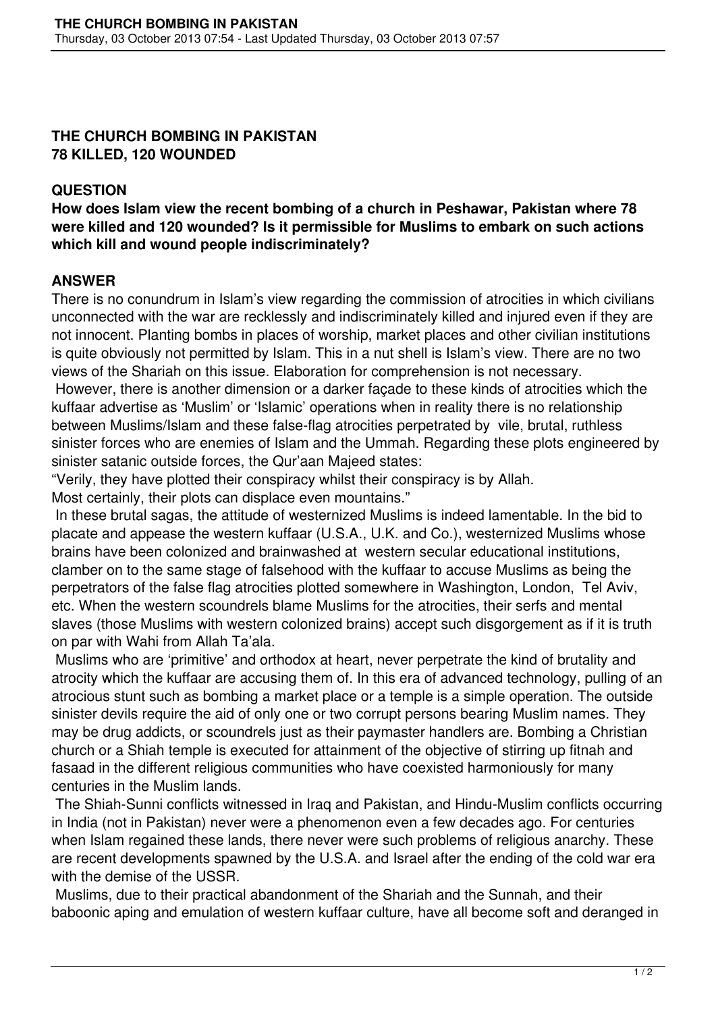## **THE CHURCH BOMBING IN PAKISTAN 78 KILLED, 120 WOUNDED**

## **QUESTION**

**How does Islam view the recent bombing of a church in Peshawar, Pakistan where 78 were killed and 120 wounded? Is it permissible for Muslims to embark on such actions which kill and wound people indiscriminately?**

## **ANSWER**

There is no conundrum in Islam's view regarding the commission of atrocities in which civilians unconnected with the war are recklessly and indiscriminately killed and injured even if they are not innocent. Planting bombs in places of worship, market places and other civilian institutions is quite obviously not permitted by Islam. This in a nut shell is Islam's view. There are no two views of the Shariah on this issue. Elaboration for comprehension is not necessary.

 However, there is another dimension or a darker façade to these kinds of atrocities which the kuffaar advertise as 'Muslim' or 'Islamic' operations when in reality there is no relationship between Muslims/Islam and these false-flag atrocities perpetrated by vile, brutal, ruthless sinister forces who are enemies of Islam and the Ummah. Regarding these plots engineered by sinister satanic outside forces, the Qur'aan Majeed states:

"Verily, they have plotted their conspiracy whilst their conspiracy is by Allah.

Most certainly, their plots can displace even mountains."

 In these brutal sagas, the attitude of westernized Muslims is indeed lamentable. In the bid to placate and appease the western kuffaar (U.S.A., U.K. and Co.), westernized Muslims whose brains have been colonized and brainwashed at western secular educational institutions, clamber on to the same stage of falsehood with the kuffaar to accuse Muslims as being the perpetrators of the false flag atrocities plotted somewhere in Washington, London, Tel Aviv, etc. When the western scoundrels blame Muslims for the atrocities, their serfs and mental slaves (those Muslims with western colonized brains) accept such disgorgement as if it is truth on par with Wahi from Allah Ta'ala.

 Muslims who are 'primitive' and orthodox at heart, never perpetrate the kind of brutality and atrocity which the kuffaar are accusing them of. In this era of advanced technology, pulling of an atrocious stunt such as bombing a market place or a temple is a simple operation. The outside sinister devils require the aid of only one or two corrupt persons bearing Muslim names. They may be drug addicts, or scoundrels just as their paymaster handlers are. Bombing a Christian church or a Shiah temple is executed for attainment of the objective of stirring up fitnah and fasaad in the different religious communities who have coexisted harmoniously for many centuries in the Muslim lands.

 The Shiah-Sunni conflicts witnessed in Iraq and Pakistan, and Hindu-Muslim conflicts occurring in India (not in Pakistan) never were a phenomenon even a few decades ago. For centuries when Islam regained these lands, there never were such problems of religious anarchy. These are recent developments spawned by the U.S.A. and Israel after the ending of the cold war era with the demise of the USSR.

 Muslims, due to their practical abandonment of the Shariah and the Sunnah, and their baboonic aping and emulation of western kuffaar culture, have all become soft and deranged in